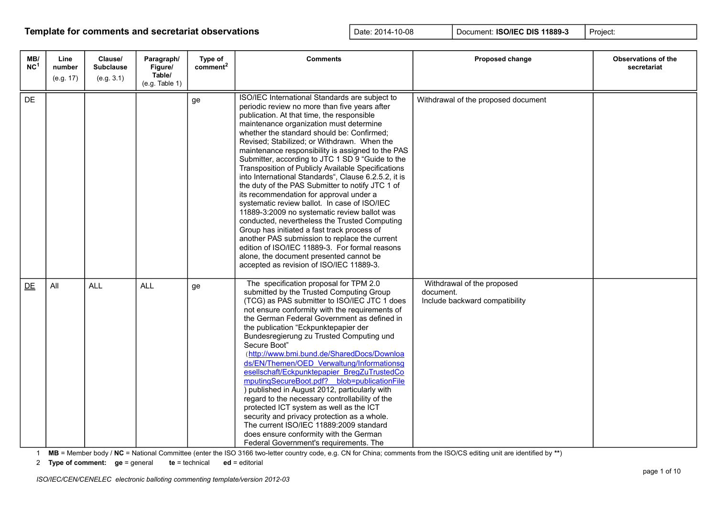| MB/<br>NC <sup>1</sup> | Line<br>number<br>(e.g. 17) | Clause/<br><b>Subclause</b><br>(e.g. 3.1) | Paragraph/<br>Figure/<br>Table/<br>(e.g. Table 1) | Type of<br>comment <sup>2</sup> | <b>Comments</b>                                                                                                                                                                                                                                                                                                                                                                                                                                                                                                                                                                                                                                                                                                                                                                                                                                                                                                                                                                                       | Proposed change                                                           | Observations of the<br>secretariat |
|------------------------|-----------------------------|-------------------------------------------|---------------------------------------------------|---------------------------------|-------------------------------------------------------------------------------------------------------------------------------------------------------------------------------------------------------------------------------------------------------------------------------------------------------------------------------------------------------------------------------------------------------------------------------------------------------------------------------------------------------------------------------------------------------------------------------------------------------------------------------------------------------------------------------------------------------------------------------------------------------------------------------------------------------------------------------------------------------------------------------------------------------------------------------------------------------------------------------------------------------|---------------------------------------------------------------------------|------------------------------------|
| DE                     |                             |                                           |                                                   | ge                              | ISO/IEC International Standards are subject to<br>periodic review no more than five years after<br>publication. At that time, the responsible<br>maintenance organization must determine<br>whether the standard should be: Confirmed;<br>Revised; Stabilized; or Withdrawn. When the<br>maintenance responsibility is assigned to the PAS<br>Submitter, according to JTC 1 SD 9 "Guide to the<br>Transposition of Publicly Available Specifications<br>into International Standards", Clause 6.2.5.2, it is<br>the duty of the PAS Submitter to notify JTC 1 of<br>its recommendation for approval under a<br>systematic review ballot. In case of ISO/IEC<br>11889-3:2009 no systematic review ballot was<br>conducted, nevertheless the Trusted Computing<br>Group has initiated a fast track process of<br>another PAS submission to replace the current<br>edition of ISO/IEC 11889-3. For formal reasons<br>alone, the document presented cannot be<br>accepted as revision of ISO/IEC 11889-3. | Withdrawal of the proposed document                                       |                                    |
| DE                     | All                         | <b>ALL</b>                                | <b>ALL</b>                                        | ge                              | The specification proposal for TPM 2.0<br>submitted by the Trusted Computing Group<br>(TCG) as PAS submitter to ISO/IEC JTC 1 does<br>not ensure conformity with the requirements of<br>the German Federal Government as defined in<br>the publication "Eckpunktepapier der<br>Bundesregierung zu Trusted Computing und<br>Secure Boot"<br>(http://www.bmi.bund.de/SharedDocs/Downloa<br>ds/EN/Themen/OED Verwaltung/Informationsg<br>esellschaft/Eckpunktepapier BregZuTrustedCo<br>mputingSecureBoot.pdf? blob=publicationFile<br>) published in August 2012, particularly with<br>regard to the necessary controllability of the<br>protected ICT system as well as the ICT<br>security and privacy protection as a whole.<br>The current ISO/IEC 11889:2009 standard<br>does ensure conformity with the German<br>Federal Government's requirements. The                                                                                                                                          | Withdrawal of the proposed<br>document.<br>Include backward compatibility |                                    |

1 **MB** = Member body / **NC** = National Committee (enter the ISO 3166 two-letter country code, e.g. CN for China; comments from the ISO/CS editing unit are identified by **\*\***)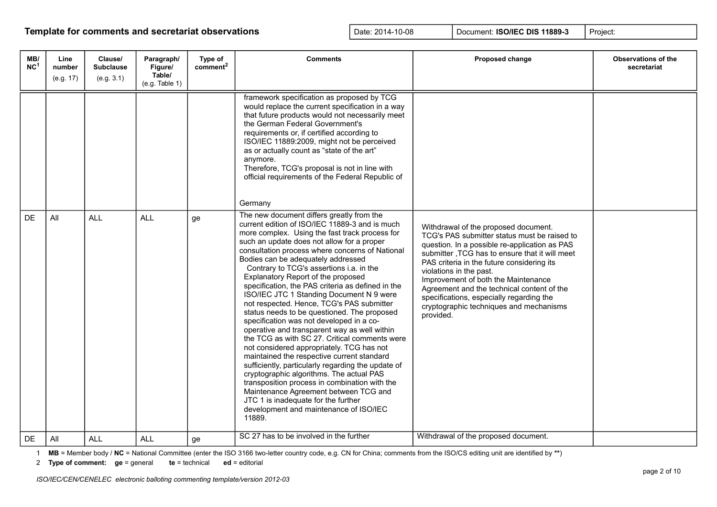| MB/<br>NC <sup>1</sup> | Line<br>number<br>(e.g. 17) | Clause/<br><b>Subclause</b><br>(e.g. 3.1) | Paragraph/<br>Figure/<br>Table/<br>(e.g. Table 1) | Type of<br>comment <sup>2</sup> | <b>Comments</b>                                                                                                                                                                                                                                                                                                                                                                                                                                                                                                                                                                                                                                                                                                                                                                                                                                                                                                                                                                                                                                                                                           | Proposed change                                                                                                                                                                                                                                                                                                                                                                                                                                           | <b>Observations of the</b><br>secretariat |
|------------------------|-----------------------------|-------------------------------------------|---------------------------------------------------|---------------------------------|-----------------------------------------------------------------------------------------------------------------------------------------------------------------------------------------------------------------------------------------------------------------------------------------------------------------------------------------------------------------------------------------------------------------------------------------------------------------------------------------------------------------------------------------------------------------------------------------------------------------------------------------------------------------------------------------------------------------------------------------------------------------------------------------------------------------------------------------------------------------------------------------------------------------------------------------------------------------------------------------------------------------------------------------------------------------------------------------------------------|-----------------------------------------------------------------------------------------------------------------------------------------------------------------------------------------------------------------------------------------------------------------------------------------------------------------------------------------------------------------------------------------------------------------------------------------------------------|-------------------------------------------|
|                        |                             |                                           |                                                   |                                 | framework specification as proposed by TCG<br>would replace the current specification in a way<br>that future products would not necessarily meet<br>the German Federal Government's<br>requirements or, if certified according to<br>ISO/IEC 11889:2009, might not be perceived<br>as or actually count as "state of the art"<br>anymore.<br>Therefore, TCG's proposal is not in line with<br>official requirements of the Federal Republic of<br>Germany                                                                                                                                                                                                                                                                                                                                                                                                                                                                                                                                                                                                                                                |                                                                                                                                                                                                                                                                                                                                                                                                                                                           |                                           |
| <b>DE</b>              | All                         | <b>ALL</b>                                | <b>ALL</b>                                        | ge                              | The new document differs greatly from the<br>current edition of ISO/IEC 11889-3 and is much<br>more complex. Using the fast track process for<br>such an update does not allow for a proper<br>consultation process where concerns of National<br>Bodies can be adequately addressed<br>Contrary to TCG's assertions <i>i.a.</i> in the<br>Explanatory Report of the proposed<br>specification, the PAS criteria as defined in the<br>ISO/IEC JTC 1 Standing Document N 9 were<br>not respected. Hence, TCG's PAS submitter<br>status needs to be questioned. The proposed<br>specification was not developed in a co-<br>operative and transparent way as well within<br>the TCG as with SC 27. Critical comments were<br>not considered appropriately. TCG has not<br>maintained the respective current standard<br>sufficiently, particularly regarding the update of<br>cryptographic algorithms. The actual PAS<br>transposition process in combination with the<br>Maintenance Agreement between TCG and<br>JTC 1 is inadequate for the further<br>development and maintenance of ISO/IEC<br>11889. | Withdrawal of the proposed document.<br>TCG's PAS submitter status must be raised to<br>question. In a possible re-application as PAS<br>submitter, TCG has to ensure that it will meet<br>PAS criteria in the future considering its<br>violations in the past.<br>Improvement of both the Maintenance<br>Agreement and the technical content of the<br>specifications, especially regarding the<br>cryptographic techniques and mechanisms<br>provided. |                                           |
| DE                     | All                         | <b>ALL</b>                                | <b>ALL</b>                                        | ge                              | SC 27 has to be involved in the further                                                                                                                                                                                                                                                                                                                                                                                                                                                                                                                                                                                                                                                                                                                                                                                                                                                                                                                                                                                                                                                                   | Withdrawal of the proposed document.                                                                                                                                                                                                                                                                                                                                                                                                                      |                                           |

1 **MB** = Member body / **NC** = National Committee (enter the ISO 3166 two-letter country code, e.g. CN for China; comments from the ISO/CS editing unit are identified by **\*\***)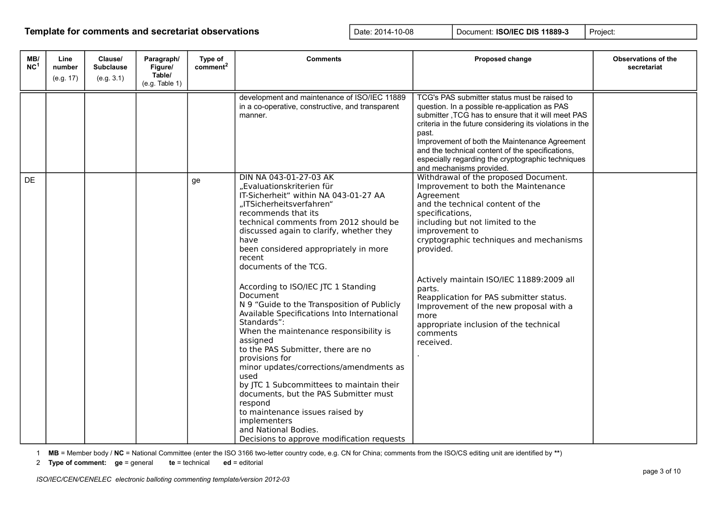| MB/<br>NC <sup>1</sup> | Line<br>number<br>(e.g. 17) | Clause/<br><b>Subclause</b><br>(e.g. 3.1) | Paragraph/<br>Figure/<br>Table/<br>(e.g. Table 1) | Type of<br>comment <sup>2</sup> | <b>Comments</b>                                                                                                                                                                                                                                                                                                                                                                                                                                                                                                                                                                                                                                                                                                                                                                                                                                                                     | Proposed change                                                                                                                                                                                                                                                                                                                                                                                                                                                                     | <b>Observations of the</b><br>secretariat |
|------------------------|-----------------------------|-------------------------------------------|---------------------------------------------------|---------------------------------|-------------------------------------------------------------------------------------------------------------------------------------------------------------------------------------------------------------------------------------------------------------------------------------------------------------------------------------------------------------------------------------------------------------------------------------------------------------------------------------------------------------------------------------------------------------------------------------------------------------------------------------------------------------------------------------------------------------------------------------------------------------------------------------------------------------------------------------------------------------------------------------|-------------------------------------------------------------------------------------------------------------------------------------------------------------------------------------------------------------------------------------------------------------------------------------------------------------------------------------------------------------------------------------------------------------------------------------------------------------------------------------|-------------------------------------------|
|                        |                             |                                           |                                                   |                                 | development and maintenance of ISO/IEC 11889<br>in a co-operative, constructive, and transparent<br>manner.                                                                                                                                                                                                                                                                                                                                                                                                                                                                                                                                                                                                                                                                                                                                                                         | TCG's PAS submitter status must be raised to<br>question. In a possible re-application as PAS<br>submitter, TCG has to ensure that it will meet PAS<br>criteria in the future considering its violations in the<br>past.<br>Improvement of both the Maintenance Agreement<br>and the technical content of the specifications,<br>especially regarding the cryptographic techniques<br>and mechanisms provided.                                                                      |                                           |
| DE                     |                             |                                           |                                                   | ge                              | DIN NA 043-01-27-03 AK<br>"Evaluationskriterien für<br>IT-Sicherheit" within NA 043-01-27 AA<br>"ITSicherheitsverfahren"<br>recommends that its<br>technical comments from 2012 should be<br>discussed again to clarify, whether they<br>have<br>been considered appropriately in more<br>recent<br>documents of the TCG.<br>According to ISO/IEC JTC 1 Standing<br>Document<br>N 9 "Guide to the Transposition of Publicly<br>Available Specifications Into International<br>Standards":<br>When the maintenance responsibility is<br>assigned<br>to the PAS Submitter, there are no<br>provisions for<br>minor updates/corrections/amendments as<br>used<br>by JTC 1 Subcommittees to maintain their<br>documents, but the PAS Submitter must<br>respond<br>to maintenance issues raised by<br>implementers<br>and National Bodies.<br>Decisions to approve modification requests | Withdrawal of the proposed Document.<br>Improvement to both the Maintenance<br>Agreement<br>and the technical content of the<br>specifications,<br>including but not limited to the<br>improvement to<br>cryptographic techniques and mechanisms<br>provided.<br>Actively maintain ISO/IEC 11889:2009 all<br>parts.<br>Reapplication for PAS submitter status.<br>Improvement of the new proposal with a<br>more<br>appropriate inclusion of the technical<br>comments<br>received. |                                           |

1 **MB** = Member body / **NC** = National Committee (enter the ISO 3166 two-letter country code, e.g. CN for China; comments from the ISO/CS editing unit are identified by **\*\***)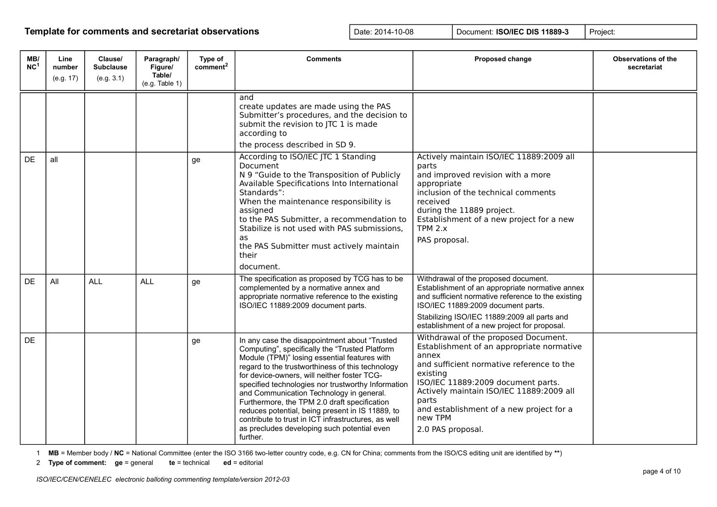| MB/<br>NC <sup>1</sup> | Line<br>number<br>(e.g. 17) | Clause/<br><b>Subclause</b><br>(e.g. 3.1) | Paragraph/<br>Figure/<br>Table/<br>(e.g. Table 1) | Type of<br>comment <sup>2</sup> | <b>Comments</b>                                                                                                                                                                                                                                                                                                                                                                                                                                                                                                                                                            | Proposed change                                                                                                                                                                                                                                                                                                            | <b>Observations of the</b><br>secretariat |
|------------------------|-----------------------------|-------------------------------------------|---------------------------------------------------|---------------------------------|----------------------------------------------------------------------------------------------------------------------------------------------------------------------------------------------------------------------------------------------------------------------------------------------------------------------------------------------------------------------------------------------------------------------------------------------------------------------------------------------------------------------------------------------------------------------------|----------------------------------------------------------------------------------------------------------------------------------------------------------------------------------------------------------------------------------------------------------------------------------------------------------------------------|-------------------------------------------|
|                        |                             |                                           |                                                   |                                 | and<br>create updates are made using the PAS<br>Submitter's procedures, and the decision to<br>submit the revision to JTC 1 is made<br>according to<br>the process described in SD 9.                                                                                                                                                                                                                                                                                                                                                                                      |                                                                                                                                                                                                                                                                                                                            |                                           |
| DE                     | all                         |                                           |                                                   | ge                              | According to ISO/IEC JTC 1 Standing<br>Document<br>N 9 "Guide to the Transposition of Publicly<br>Available Specifications Into International<br>Standards":<br>When the maintenance responsibility is<br>assigned<br>to the PAS Submitter, a recommendation to<br>Stabilize is not used with PAS submissions,<br>as<br>the PAS Submitter must actively maintain<br>their<br>document.                                                                                                                                                                                     | Actively maintain ISO/IEC 11889:2009 all<br>parts<br>and improved revision with a more<br>appropriate<br>inclusion of the technical comments<br>received<br>during the 11889 project.<br>Establishment of a new project for a new<br>$TPM$ 2. $x$<br>PAS proposal.                                                         |                                           |
| <b>DE</b>              | All                         | <b>ALL</b>                                | <b>ALL</b>                                        | ge                              | The specification as proposed by TCG has to be<br>complemented by a normative annex and<br>appropriate normative reference to the existing<br>ISO/IEC 11889:2009 document parts.                                                                                                                                                                                                                                                                                                                                                                                           | Withdrawal of the proposed document.<br>Establishment of an appropriate normative annex<br>and sufficient normative reference to the existing<br>ISO/IEC 11889:2009 document parts.<br>Stabilizing ISO/IEC 11889:2009 all parts and<br>establishment of a new project for proposal.                                        |                                           |
| <b>DE</b>              |                             |                                           |                                                   | ge                              | In any case the disappointment about "Trusted<br>Computing", specifically the "Trusted Platform<br>Module (TPM)" losing essential features with<br>regard to the trustworthiness of this technology<br>for device-owners, will neither foster TCG-<br>specified technologies nor trustworthy Information<br>and Communication Technology in general.<br>Furthermore, the TPM 2.0 draft specification<br>reduces potential, being present in IS 11889, to<br>contribute to trust in ICT infrastructures, as well<br>as precludes developing such potential even<br>further. | Withdrawal of the proposed Document.<br>Establishment of an appropriate normative<br>annex<br>and sufficient normative reference to the<br>existing<br>ISO/IEC 11889:2009 document parts.<br>Actively maintain ISO/IEC 11889:2009 all<br>parts<br>and establishment of a new project for a<br>new TPM<br>2.0 PAS proposal. |                                           |

1 **MB** = Member body / **NC** = National Committee (enter the ISO 3166 two-letter country code, e.g. CN for China; comments from the ISO/CS editing unit are identified by **\*\***)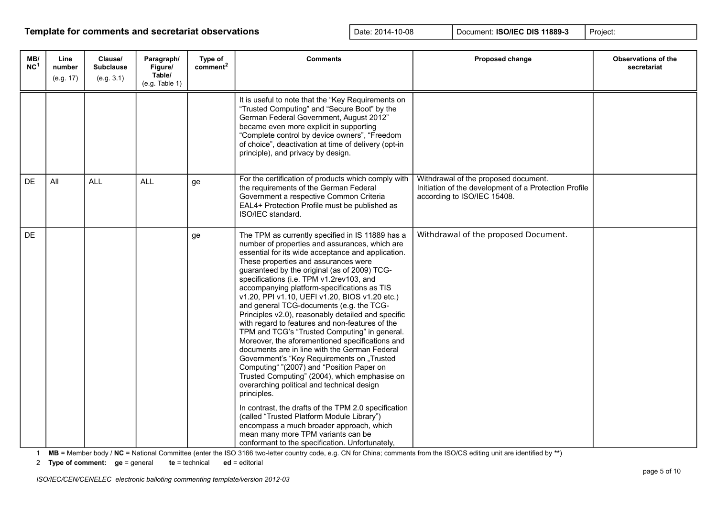| MB/<br>NC <sup>1</sup> | Line<br>number<br>(e.g. 17) | Clause/<br><b>Subclause</b><br>(e.g. 3.1) | Paragraph/<br>Figure/<br>Table/<br>(e.g. Table 1) | Type of<br>comment <sup>2</sup> | <b>Comments</b>                                                                                                                                                                                                                                                                                                                                                                                                                                                                                                                                                                                                                                                                                                                                                                                                                                                                                                                                                                                                                                                                                                                                             | Proposed change                                                                                                              | <b>Observations of the</b><br>secretariat |
|------------------------|-----------------------------|-------------------------------------------|---------------------------------------------------|---------------------------------|-------------------------------------------------------------------------------------------------------------------------------------------------------------------------------------------------------------------------------------------------------------------------------------------------------------------------------------------------------------------------------------------------------------------------------------------------------------------------------------------------------------------------------------------------------------------------------------------------------------------------------------------------------------------------------------------------------------------------------------------------------------------------------------------------------------------------------------------------------------------------------------------------------------------------------------------------------------------------------------------------------------------------------------------------------------------------------------------------------------------------------------------------------------|------------------------------------------------------------------------------------------------------------------------------|-------------------------------------------|
|                        |                             |                                           |                                                   |                                 | It is useful to note that the "Key Requirements on<br>"Trusted Computing" and "Secure Boot" by the<br>German Federal Government, August 2012"<br>became even more explicit in supporting<br>"Complete control by device owners", "Freedom<br>of choice", deactivation at time of delivery (opt-in<br>principle), and privacy by design.                                                                                                                                                                                                                                                                                                                                                                                                                                                                                                                                                                                                                                                                                                                                                                                                                     |                                                                                                                              |                                           |
| <b>DE</b>              | All                         | <b>ALL</b>                                | <b>ALL</b>                                        | ge                              | For the certification of products which comply with<br>the requirements of the German Federal<br>Government a respective Common Criteria<br>EAL4+ Protection Profile must be published as<br>ISO/IEC standard.                                                                                                                                                                                                                                                                                                                                                                                                                                                                                                                                                                                                                                                                                                                                                                                                                                                                                                                                              | Withdrawal of the proposed document.<br>Initiation of the development of a Protection Profile<br>according to ISO/IEC 15408. |                                           |
| <b>DE</b>              |                             |                                           |                                                   | ge                              | The TPM as currently specified in IS 11889 has a<br>number of properties and assurances, which are<br>essential for its wide acceptance and application.<br>These properties and assurances were<br>guaranteed by the original (as of 2009) TCG-<br>specifications (i.e. TPM v1.2rev103, and<br>accompanying platform-specifications as TIS<br>v1.20, PPI v1.10, UEFI v1.20, BIOS v1.20 etc.)<br>and general TCG-documents (e.g. the TCG-<br>Principles v2.0), reasonably detailed and specific<br>with regard to features and non-features of the<br>TPM and TCG's "Trusted Computing" in general.<br>Moreover, the aforementioned specifications and<br>documents are in line with the German Federal<br>Government's "Key Requirements on "Trusted<br>Computing" "(2007) and "Position Paper on<br>Trusted Computing" (2004), which emphasise on<br>overarching political and technical design<br>principles.<br>In contrast, the drafts of the TPM 2.0 specification<br>(called "Trusted Platform Module Library")<br>encompass a much broader approach, which<br>mean many more TPM variants can be<br>conformant to the specification. Unfortunately, | Withdrawal of the proposed Document.                                                                                         |                                           |

1 **MB** = Member body / **NC** = National Committee (enter the ISO 3166 two-letter country code, e.g. CN for China; comments from the ISO/CS editing unit are identified by **\*\***)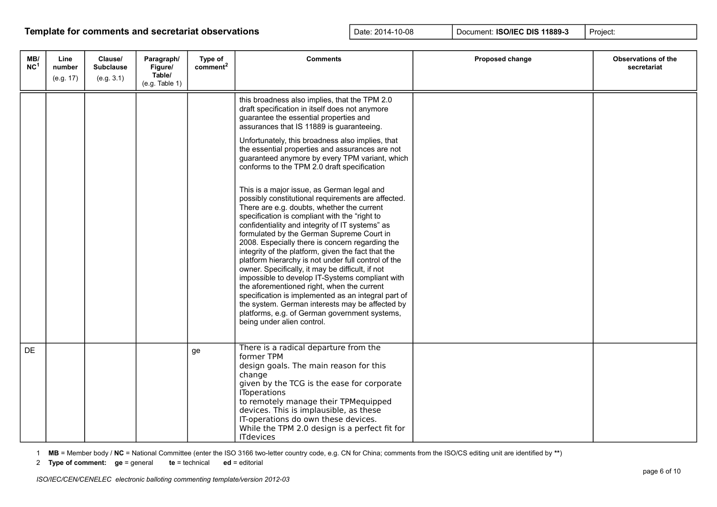| MB/<br>NC <sup>1</sup> | Line<br>number<br>(e.g. 17) | Clause/<br><b>Subclause</b><br>(e.g. 3.1) | Paragraph/<br>Figure/<br>Table/<br>(e.g. Table 1) | Type of<br>comment <sup>2</sup> | <b>Comments</b>                                                                                                                                                                                                                                                                                                                                                                                                                                                                                                                                                                                                                                                                                                                                                                                                                                                                                                                                                                                                                                                                                                                                                                                                 | Proposed change | <b>Observations of the</b><br>secretariat |
|------------------------|-----------------------------|-------------------------------------------|---------------------------------------------------|---------------------------------|-----------------------------------------------------------------------------------------------------------------------------------------------------------------------------------------------------------------------------------------------------------------------------------------------------------------------------------------------------------------------------------------------------------------------------------------------------------------------------------------------------------------------------------------------------------------------------------------------------------------------------------------------------------------------------------------------------------------------------------------------------------------------------------------------------------------------------------------------------------------------------------------------------------------------------------------------------------------------------------------------------------------------------------------------------------------------------------------------------------------------------------------------------------------------------------------------------------------|-----------------|-------------------------------------------|
|                        |                             |                                           |                                                   |                                 | this broadness also implies, that the TPM 2.0<br>draft specification in itself does not anymore<br>guarantee the essential properties and<br>assurances that IS 11889 is guaranteeing.<br>Unfortunately, this broadness also implies, that<br>the essential properties and assurances are not<br>guaranteed anymore by every TPM variant, which<br>conforms to the TPM 2.0 draft specification<br>This is a major issue, as German legal and<br>possibly constitutional requirements are affected.<br>There are e.g. doubts, whether the current<br>specification is compliant with the "right to<br>confidentiality and integrity of IT systems" as<br>formulated by the German Supreme Court in<br>2008. Especially there is concern regarding the<br>integrity of the platform, given the fact that the<br>platform hierarchy is not under full control of the<br>owner. Specifically, it may be difficult, if not<br>impossible to develop IT-Systems compliant with<br>the aforementioned right, when the current<br>specification is implemented as an integral part of<br>the system. German interests may be affected by<br>platforms, e.g. of German government systems,<br>being under alien control. |                 |                                           |
| DE                     |                             |                                           |                                                   | ge                              | There is a radical departure from the<br>former TPM<br>design goals. The main reason for this<br>change<br>given by the TCG is the ease for corporate<br><b>IToperations</b><br>to remotely manage their TPMequipped<br>devices. This is implausible, as these<br>IT-operations do own these devices.<br>While the TPM 2.0 design is a perfect fit for<br><b>ITdevices</b>                                                                                                                                                                                                                                                                                                                                                                                                                                                                                                                                                                                                                                                                                                                                                                                                                                      |                 |                                           |

1 **MB** = Member body / **NC** = National Committee (enter the ISO 3166 two-letter country code, e.g. CN for China; comments from the ISO/CS editing unit are identified by **\*\***)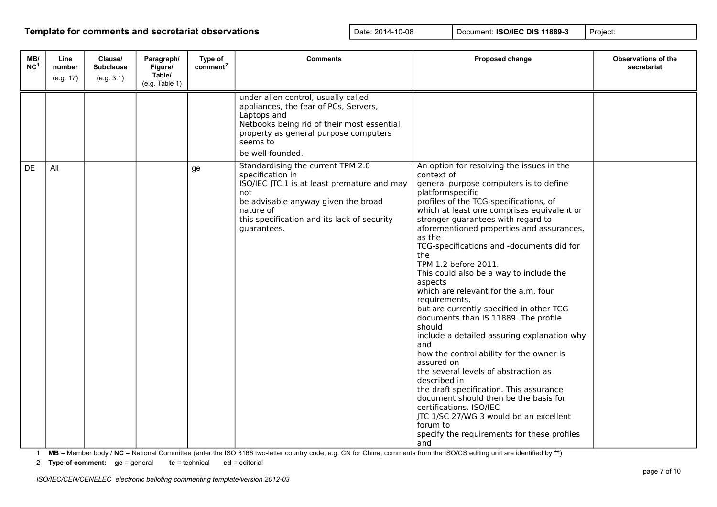| MB/<br>NC <sup>1</sup> | Line<br>number<br>(e.g. 17) | Clause/<br><b>Subclause</b><br>(e.g. 3.1) | Paragraph/<br>Figure/<br>Table/<br>(e.g. Table 1) | Type of<br>comment <sup>2</sup> | <b>Comments</b>                                                                                                                                                                                                               | Proposed change                                                                                                                                                                                                                                                                                                                                                                                                                                                                                                                                                                                                                                                                                                                                                                                                                                                                                                                                                                                        | <b>Observations of the</b><br>secretariat |
|------------------------|-----------------------------|-------------------------------------------|---------------------------------------------------|---------------------------------|-------------------------------------------------------------------------------------------------------------------------------------------------------------------------------------------------------------------------------|--------------------------------------------------------------------------------------------------------------------------------------------------------------------------------------------------------------------------------------------------------------------------------------------------------------------------------------------------------------------------------------------------------------------------------------------------------------------------------------------------------------------------------------------------------------------------------------------------------------------------------------------------------------------------------------------------------------------------------------------------------------------------------------------------------------------------------------------------------------------------------------------------------------------------------------------------------------------------------------------------------|-------------------------------------------|
|                        |                             |                                           |                                                   |                                 | under alien control, usually called<br>appliances, the fear of PCs, Servers,<br>Laptops and<br>Netbooks being rid of their most essential<br>property as general purpose computers<br>seems to<br>be well-founded.            |                                                                                                                                                                                                                                                                                                                                                                                                                                                                                                                                                                                                                                                                                                                                                                                                                                                                                                                                                                                                        |                                           |
| <b>DE</b>              | All                         |                                           |                                                   | ge                              | Standardising the current TPM 2.0<br>specification in<br>ISO/IEC JTC 1 is at least premature and may<br>not<br>be advisable anyway given the broad<br>nature of<br>this specification and its lack of security<br>guarantees. | An option for resolving the issues in the<br>context of<br>general purpose computers is to define<br>platformspecific<br>profiles of the TCG-specifications, of<br>which at least one comprises equivalent or<br>stronger guarantees with regard to<br>aforementioned properties and assurances,<br>as the<br>TCG-specifications and -documents did for<br>the<br>TPM 1.2 before 2011.<br>This could also be a way to include the<br>aspects<br>which are relevant for the a.m. four<br>requirements,<br>but are currently specified in other TCG<br>documents than IS 11889. The profile<br>should<br>include a detailed assuring explanation why<br>and<br>how the controllability for the owner is<br>assured on<br>the several levels of abstraction as<br>described in<br>the draft specification. This assurance<br>document should then be the basis for<br>certifications. ISO/IEC<br>JTC 1/SC 27/WG 3 would be an excellent<br>forum to<br>specify the requirements for these profiles<br>and |                                           |

1 **MB** = Member body / **NC** = National Committee (enter the ISO 3166 two-letter country code, e.g. CN for China; comments from the ISO/CS editing unit are identified by **\*\***)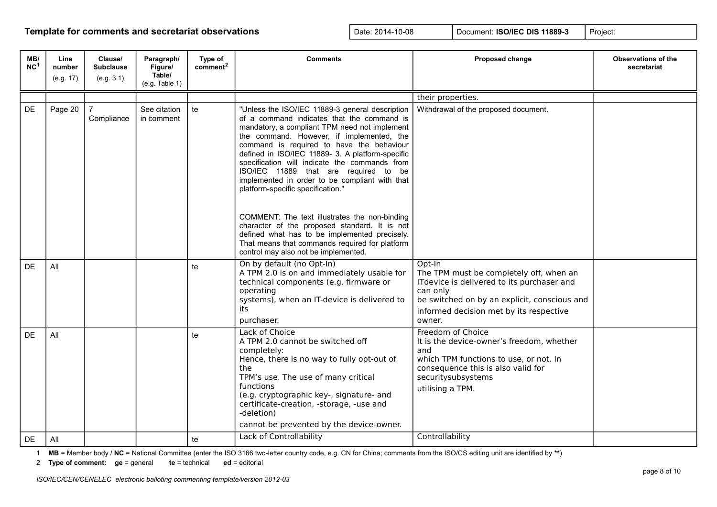| MB/<br>NC <sup>1</sup> | Line<br>number | Clause/<br><b>Subclause</b><br>(e.g. 3.1) | Paragraph/<br>Figure/<br>Table/ | Type of<br>comment <sup>2</sup> | <b>Comments</b>                                                                                                                                                                                                                                                                                                                                                                                                                                                                                                                                                                                                                                                                                                            | Proposed change                                                                                                                                                                                                  | <b>Observations of the</b><br>secretariat |
|------------------------|----------------|-------------------------------------------|---------------------------------|---------------------------------|----------------------------------------------------------------------------------------------------------------------------------------------------------------------------------------------------------------------------------------------------------------------------------------------------------------------------------------------------------------------------------------------------------------------------------------------------------------------------------------------------------------------------------------------------------------------------------------------------------------------------------------------------------------------------------------------------------------------------|------------------------------------------------------------------------------------------------------------------------------------------------------------------------------------------------------------------|-------------------------------------------|
|                        | (e.g. 17)      |                                           | (e.g. Table 1)                  |                                 |                                                                                                                                                                                                                                                                                                                                                                                                                                                                                                                                                                                                                                                                                                                            |                                                                                                                                                                                                                  |                                           |
|                        |                |                                           |                                 |                                 |                                                                                                                                                                                                                                                                                                                                                                                                                                                                                                                                                                                                                                                                                                                            | their properties.                                                                                                                                                                                                |                                           |
| <b>DE</b>              | Page 20        | Compliance                                | See citation<br>in comment      | te                              | "Unless the ISO/IEC 11889-3 general description<br>of a command indicates that the command is<br>mandatory, a compliant TPM need not implement<br>the command. However, if implemented, the<br>command is required to have the behaviour<br>defined in ISO/IEC 11889- 3. A platform-specific<br>specification will indicate the commands from<br>ISO/IEC 11889 that are required to be<br>implemented in order to be compliant with that<br>platform-specific specification."<br>COMMENT: The text illustrates the non-binding<br>character of the proposed standard. It is not<br>defined what has to be implemented precisely.<br>That means that commands required for platform<br>control may also not be implemented. | Withdrawal of the proposed document.                                                                                                                                                                             |                                           |
| DF.                    | All            |                                           |                                 | te                              | On by default (no Opt-In)<br>A TPM 2.0 is on and immediately usable for<br>technical components (e.g. firmware or<br>operating<br>systems), when an IT-device is delivered to<br>its<br>purchaser.                                                                                                                                                                                                                                                                                                                                                                                                                                                                                                                         | Opt-In<br>The TPM must be completely off, when an<br>ITdevice is delivered to its purchaser and<br>can only<br>be switched on by an explicit, conscious and<br>informed decision met by its respective<br>owner. |                                           |
| DE                     | All            |                                           |                                 | te                              | Lack of Choice<br>A TPM 2.0 cannot be switched off<br>completely:<br>Hence, there is no way to fully opt-out of<br>the<br>TPM's use. The use of many critical<br>functions<br>(e.g. cryptographic key-, signature- and<br>certificate-creation, -storage, -use and<br>-deletion)<br>cannot be prevented by the device-owner.                                                                                                                                                                                                                                                                                                                                                                                               | Freedom of Choice<br>It is the device-owner's freedom, whether<br>and<br>which TPM functions to use, or not. In<br>consequence this is also valid for<br>securitysubsystems<br>utilising a TPM.                  |                                           |
| DE                     | All            |                                           |                                 | te                              | Lack of Controllability                                                                                                                                                                                                                                                                                                                                                                                                                                                                                                                                                                                                                                                                                                    | Controllability                                                                                                                                                                                                  |                                           |

1 **MB** = Member body / **NC** = National Committee (enter the ISO 3166 two-letter country code, e.g. CN for China; comments from the ISO/CS editing unit are identified by **\*\***)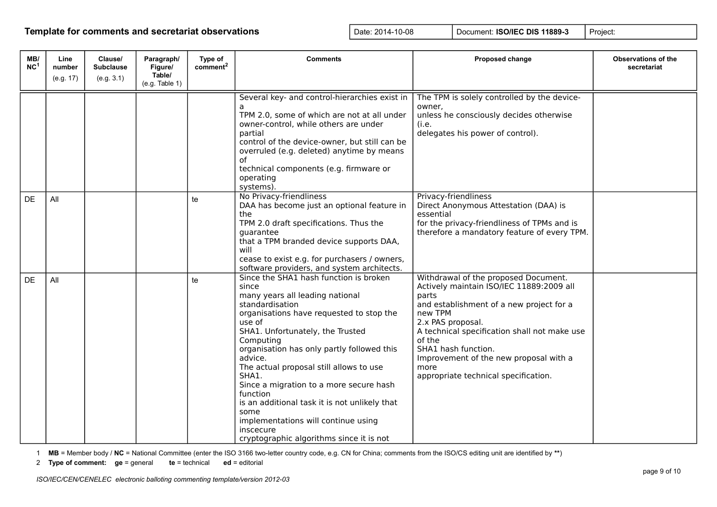| MB/<br>NC <sup>1</sup> | Line<br>number<br>(e.g. 17) | Clause/<br><b>Subclause</b><br>(e.g. 3.1) | Paragraph/<br>Figure/<br>Table/ | Type of<br>comment <sup>2</sup> | <b>Comments</b>                                                                                                                                                                                                                                                                                                                                                                                                                                                                                                                           | Proposed change                                                                                                                                                                                                                                                                                                                                  | <b>Observations of the</b><br>secretariat |
|------------------------|-----------------------------|-------------------------------------------|---------------------------------|---------------------------------|-------------------------------------------------------------------------------------------------------------------------------------------------------------------------------------------------------------------------------------------------------------------------------------------------------------------------------------------------------------------------------------------------------------------------------------------------------------------------------------------------------------------------------------------|--------------------------------------------------------------------------------------------------------------------------------------------------------------------------------------------------------------------------------------------------------------------------------------------------------------------------------------------------|-------------------------------------------|
|                        |                             |                                           | (e.g. Table 1)                  |                                 |                                                                                                                                                                                                                                                                                                                                                                                                                                                                                                                                           |                                                                                                                                                                                                                                                                                                                                                  |                                           |
|                        |                             |                                           |                                 |                                 | Several key- and control-hierarchies exist in<br>TPM 2.0, some of which are not at all under<br>owner-control, while others are under<br>partial<br>control of the device-owner, but still can be<br>overruled (e.g. deleted) anytime by means<br>of<br>technical components (e.g. firmware or<br>operating<br>systems).                                                                                                                                                                                                                  | The TPM is solely controlled by the device-<br>owner,<br>unless he consciously decides otherwise<br>(i.e.<br>delegates his power of control).                                                                                                                                                                                                    |                                           |
| DE                     | All                         |                                           |                                 | te                              | No Privacy-friendliness<br>DAA has become just an optional feature in<br>the<br>TPM 2.0 draft specifications. Thus the<br>guarantee<br>that a TPM branded device supports DAA,<br>will<br>cease to exist e.g. for purchasers / owners,<br>software providers, and system architects.                                                                                                                                                                                                                                                      | Privacy-friendliness<br>Direct Anonymous Attestation (DAA) is<br>essential<br>for the privacy-friendliness of TPMs and is<br>therefore a mandatory feature of every TPM.                                                                                                                                                                         |                                           |
| <b>DE</b>              | All                         |                                           |                                 | te                              | Since the SHA1 hash function is broken<br>since<br>many years all leading national<br>standardisation<br>organisations have requested to stop the<br>use of<br>SHA1. Unfortunately, the Trusted<br>Computing<br>organisation has only partly followed this<br>advice.<br>The actual proposal still allows to use<br>SHA1.<br>Since a migration to a more secure hash<br>function<br>is an additional task it is not unlikely that<br>some<br>implementations will continue using<br>inscecure<br>cryptographic algorithms since it is not | Withdrawal of the proposed Document.<br>Actively maintain ISO/IEC 11889:2009 all<br>parts<br>and establishment of a new project for a<br>new TPM<br>2.x PAS proposal.<br>A technical specification shall not make use<br>of the<br>SHA1 hash function.<br>Improvement of the new proposal with a<br>more<br>appropriate technical specification. |                                           |

1 **MB** = Member body / **NC** = National Committee (enter the ISO 3166 two-letter country code, e.g. CN for China; comments from the ISO/CS editing unit are identified by **\*\***)